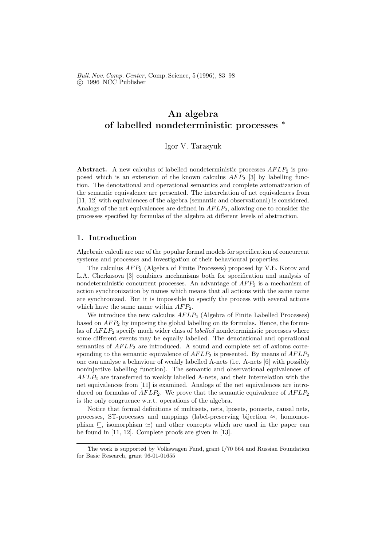Bull. Nov. Comp. Center, Comp. Science, 5 (1996), 83–98 c 1996 NCC Publisher

# An algebra of labelled nondeterministic processes <sup>∗</sup>

Igor V. Tarasyuk

Abstract. A new calculus of labelled nondeterministic processes  $AFLP_2$  is proposed which is an extension of the known calculus  $AFP_2$  [3] by labelling function. The denotational and operational semantics and complete axiomatization of the semantic equivalence are presented. The interrelation of net equivalences from [11, 12] with equivalences of the algebra (semantic and observational) is considered. Analogs of the net equivalences are defined in  $AFLP<sub>2</sub>$ , allowing one to consider the processes specified by formulas of the algebra at different levels of abstraction.

## 1. Introduction

Algebraic calculi are one of the popular formal models for specification of concurrent systems and processes and investigation of their behavioural properties.

The calculus  $AFP_2$  (Algebra of Finite Processes) proposed by V.E. Kotov and L.A. Cherkasova [3] combines mechanisms both for specification and analysis of nondeterministic concurrent processes. An advantage of  $AFP<sub>2</sub>$  is a mechanism of action synchronization by names which means that all actions with the same name are synchronized. But it is impossible to specify the process with several actions which have the same name within  $AFP_2$ .

We introduce the new calculus  $AFLP_2$  (Algebra of Finite Labelled Processes) based on  $AFP_2$  by imposing the global labelling on its formulas. Hence, the formulas of  $AFLP_2$  specify much wider class of *labelled* nondeterministic processes where some different events may be equally labelled. The denotational and operational semantics of  $AFLP_2$  are introduced. A sound and complete set of axioms corresponding to the semantic equivalence of  $AFLP_2$  is presented. By means of  $AFLP_2$ one can analyse a behaviour of weakly labelled A-nets (i.e. A-nets [6] with possibly noninjective labelling function). The semantic and observational equivalences of  $AFLP<sub>2</sub>$  are transferred to weakly labelled A-nets, and their interrelation with the net equivalences from [11] is examined. Analogs of the net equivalences are introduced on formulas of  $AFLP_2$ . We prove that the semantic equivalence of  $AFLP_2$ is the only congruence w.r.t. operations of the algebra.

Notice that formal definitions of multisets, nets, lposets, pomsets, causal nets, processes, ST-processes and mappings (label-preserving bijection  $\approx$ , homomorphism  $\subseteq$ , isomorphism  $\cong$ ) and other concepts which are used in the paper can be found in [11, 12]. Complete proofs are given in [13].

The work is supported by Volkswagen Fund, grant I/70 564 and Russian Foundation for Basic Research, grant 96-01-01655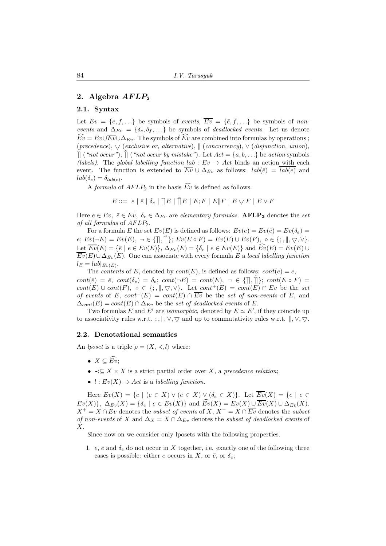## 2. Algebra  $AFLP_2$

#### 2.1. Syntax

Let  $Ev = \{e, f, ...\}$  be symbols of events,  $\overline{Ev} = \{\overline{e}, \overline{f}, ...\}$  be symbols of nonevents and  $\Delta_{Ev} = \{\delta_e, \delta_f, \ldots\}$  be symbols of *deadlocked events*. Let us denote  $\widehat{Ev} = Ev \cup \overline{Ev} \cup \Delta_{Ev}$ . The symbols of  $\widehat{Ev}$  are combined into formulas by operations; (precedence),  $\bigtriangledown$  (exclusive or, alternative),  $\parallel$  (concurrency),  $\vee$  (disjunction, union),  $\parallel$  ("not occur"),  $\parallel$  ("not occur by mistake"). Let  $Act = \{a, b, \ldots\}$  be action symbols (labels). The global labelling function lab :  $Ev \rightarrow Act$  binds an action with each event. The function is extended to  $\overline{Ev} \cup \Delta_{Ev}$  as follows:  $lab(\overline{e}) = \overline{lab(e)}$  and  $lab(\delta_e) = \delta_{lab(e)}$ .

A *formula* of  $AFLP_2$  in the basis  $\widehat{Ev}$  is defined as follows.

 $E ::= \hspace{0.2cm} e \hspace{0.2cm} | \hspace{0.2cm} \bar{e} \hspace{0.2cm} | \hspace{0.2cm} \bar{\parallel} E \hspace{0.2cm} | \hspace{0.2cm} \tilde{\parallel} E \hspace{0.2cm} | \hspace{0.2cm} E; F \hspace{0.2cm} | \hspace{0.2cm} E \| F \hspace{0.2cm} | \hspace{0.2cm} E \bigtriangledown F \hspace{0.2cm} | \hspace{0.2cm} E \vee F$ 

Here  $e \in Ev, \ \bar{e} \in \overline{Ev}, \ \delta_e \in \Delta_{Ev}$  are elementary formulas.  $\text{AFLP}_2$  denotes the set of all formulas of  $AFLP_2$ .

For a formula E the set  $Ev(E)$  is defined as follows:  $Ev(e) = Ev(\bar{e}) = Ev(\delta_e) =$  $e; Ev(\neg E) = Ev(E), \ \neg \in \{\parallel, \tilde{\parallel}\}; Ev(E \circ F) = Ev(E) \cup Ev(F), \ \circ \in \{\cdot, \parallel, \bigtriangledown, \vee\}.$ Let  $\overline{Ev}(E) = \{\overline{e} \mid e \in Ev(E)\}, \Delta_{Ev}(E) = \{\delta_e \mid e \in Ev(E)\}$  and  $\overline{Ev}(E) = Ev(E) \cup$  $\overline{Ev}(E) \cup \Delta_{Ev}(E)$ . One can associate with every formula E a local labelling function  $l_E = lab|_{Ev(E)}$ .

The *contents* of E, denoted by  $cont(E)$ , is defined as follows:  $cont(e) = e$ ,  $cont(\bar{e}) = \bar{e}, cont(\delta_e) = \delta_e; cont(\neg E) = cont(E), \neg \in \{\parallel, \tilde{\parallel}\}; cont(E \circ F) =$  $cont(E) \cup cont(F)$ , ∘ ∈ {;, ||,  $\nabla$ ,  $\vee$ }. Let  $cont^+(E) = cont(E) \cap Ev$  be the set of events of E, cont<sup>-</sup>(E) = cont(E) ∩  $\overline{Ev}$  be the set of non-events of E, and  $\Delta_{cont}(E) = cont(E) \cap \Delta_{Ev}$  be the set of deadlocked events of E.

Two formulas E and E' are *isomorphic*, denoted by  $E \simeq E'$ , if they coincide up to associativity rules w.r.t. ; ,  $\|\cdot, \vee, \nabla\|$  and up to commutativity rules w.r.t.  $\|\cdot, \vee, \nabla\|$ .

#### 2.2. Denotational semantics

An *lposet* is a triple  $\rho = \langle X, \prec, l \rangle$  where:

- $X \subseteq \widehat{Ev}$
- $\prec \subseteq X \times X$  is a strict partial order over X, a precedence relation;
- $l: Ev(X) \to Act$  is a labelling function.

Here  $Ev(X) = \{e \mid (e \in X) \vee (\bar{e} \in X) \vee (\delta_e \in X)\}\.$  Let  $\overline{Ev}(X) = \{\bar{e} \mid e \in X\}$  $Ev(X)$ ,  $\Delta_{E_v}(X) = \{\delta_e \mid e \in Ev(X)\}\$ and  $\widehat{Ev}(X) = Ev(X) \cup \overline{Ev}(X) \cup \Delta_{E_v}(X)$ .  $X^+ = X \cap Ev$  denotes the *subset of events* of X,  $X^- = X \cap \overline{Ev}$  denotes the *subset* of non-events of X and  $\Delta_X = X \cap \Delta_{Ev}$  denotes the subset of deadlocked events of X.

Since now on we consider only lposets with the following properties.

1. e,  $\bar{e}$  and  $\delta_e$  do not occur in X together, i.e. exactly one of the following three cases is possible: either e occurs in X, or  $\bar{e}$ , or  $\delta_e$ ;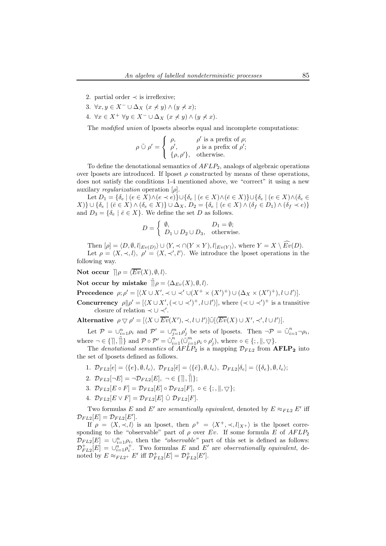- 2. partial order  $\prec$  is irreflexive;
- 3.  $\forall x, y \in X^- \cup \Delta_X \ (x \nless y) \wedge (y \nless x);$
- 4.  $\forall x \in X^+ \ \forall y \in X^- \cup \Delta_X \ (x \not\prec y) \land (y \not\prec x).$

The *modified union* of lposets absorbs equal and incomplete computations:

$$
\rho \mathcal{Q} \rho' = \begin{cases} \rho, & \rho' \text{ is a prefix of } \rho; \\ \rho', & \rho \text{ is a prefix of } \rho'; \\ \{\rho, \rho'\}, & \text{otherwise.} \end{cases}
$$

To define the denotational semantics of  $AFLP<sub>2</sub>$ , analogs of algebraic operations over lposets are introduced. If lposet  $\rho$  constructed by means of these operations, does not satisfy the conditions 1-4 mentioned above, we "correct" it using a new auxilary *regularization* operation  $[\rho]$ .

Let  $D_1 = \{\delta_e \mid (e \in X) \wedge (e \prec e)\} \cup \{\delta_e \mid (e \in X) \wedge (\bar{e} \in X)\} \cup \{\delta_e \mid (e \in X) \wedge (\delta_e \in \bar{e}\})\}$  $\{X\}\cup\{\delta_e \mid (\bar{e}\in X)\wedge(\delta_e\in X)\}\cup\Delta_X, D_2=\{\delta_e \mid (e\in X)\wedge(\delta_f\in D_1)\wedge(\delta_f\prec e)\}\$ and  $D_3 = \{\delta_e \mid \bar{e} \in X\}$ . We define the set D as follows.

$$
D = \begin{cases} \emptyset, & D_1 = \emptyset; \\ D_1 \cup D_2 \cup D_3, & \text{otherwise.} \end{cases}
$$

Then  $[\rho] = \langle D, \emptyset, l|_{Ev(D)}\rangle \cup \langle Y, \prec \cap (Y \times Y), l|_{Ev(Y)}\rangle$ , where  $Y = X \setminus \widehat{Ev}(D)$ .

Let  $\rho = \langle X, \prec, l \rangle, \ \rho' = \langle X, \prec', l' \rangle$ . We introduce the lposet operations in the following way.

Not occur  $\mathbb{I}\rho = \langle \overline{Ev}(X), \emptyset, l \rangle$ .

Not occur by mistake  $\tilde{\parallel} \rho = \langle \Delta_{Ev}(X), \emptyset, l \rangle$ .

Precedence  $\rho; \rho' = [\langle X \cup X', \prec \cup \prec' \cup (X^+ \times (X')^+) \cup (\Delta_X \times (X')^+), l \cup l' \rangle].$ 

Concurrency  $\rho || \rho' = [\langle X \cup X', (\prec \cup \prec')^+, l \cup l' \rangle],$  where  $(\prec \cup \prec')^+$  is a transitive closure of relation  $\prec \cup \prec'$ .

Alternative  $\rho \bigtriangledown \rho' = [\langle X \cup \overline{Ev}(X'), \prec, l \cup l' \rangle] \tilde{\cup} [\langle \overline{Ev}(X) \cup X', \prec', l \cup l' \rangle].$ 

Let  $P = \bigcup_{i=1}^n \rho_i$  and  $P' = \bigcup_{j=1}^m \rho'_j$  be sets of lposets. Then  $\neg P = \tilde{\bigcup}_{i=1}^n \neg \rho_i$ , where  $\neg \in \{\parallel, \tilde{\parallel}\}$  and  $\mathcal{P} \circ \mathcal{P}' = \tilde{\cup}_{i=1}^n (\tilde{\cup}_{j=1}^m \rho_i \circ \rho'_j)$ , where  $\circ \in \{\,; \parallel, \bigtriangledown\}$ .

The *denotational semantics* of  $AFLP_2$  is a mapping  $\mathcal{D}_{FL2}$  from  $AFLP_2$  into the set of lposets defined as follows.

- 1.  $\mathcal{D}_{FL2}[e] = \langle \{e\}, \emptyset, l_e \rangle, \ \mathcal{D}_{FL2}[\bar{e}] = \langle \{\bar{e}\}, \emptyset, l_e \rangle, \ \mathcal{D}_{FL2}[\delta_e] = \langle \{\delta_e\}, \emptyset, l_e \rangle;$
- 2.  $\mathcal{D}_{FL2}[\neg E] = \neg \mathcal{D}_{FL2}[E], \neg \in \{\rceil\}, \rceil; \}$ ;
- 3.  $\mathcal{D}_{FL2}[E \circ F] = \mathcal{D}_{FL2}[E] \circ \mathcal{D}_{FL2}[F], \circ \in \{; \ldots, \ldots \}$
- 4.  $\mathcal{D}_{FL2}[E \vee F] = \mathcal{D}_{FL2}[E] \tilde{\cup} \mathcal{D}_{FL2}[F].$

Two formulas E and E' are *semantically equivalent*, denoted by  $E \approx_{FL2} E'$  iff  $\mathcal{D}_{FL2}[E] = \mathcal{D}_{FL2}[E'].$ 

If  $\rho = \langle X, \prec, l \rangle$  is an lposet, then  $\rho^+ = \langle X^+, \prec, l|_{X^+} \rangle$  is the lposet corresponding to the "observable" part of  $\rho$  over Ev. If some formula E of  $AFLP_2$  $\mathcal{D}_{FL2}[E] = \bigcup_{i=1}^{n} \rho_i$ , then the "observable" part of this set is defined as follows:  $\mathcal{D}_{FL2}^+[E] = \bigcup_{i=1}^n \rho_i^+$ . Two formulas E and E' are observationally equivalent, denoted by  $E \approx_{FL2^+} E'$  iff  $\mathcal{D}_{FL2}^+[E] = \mathcal{D}_{FL2}^+[E'].$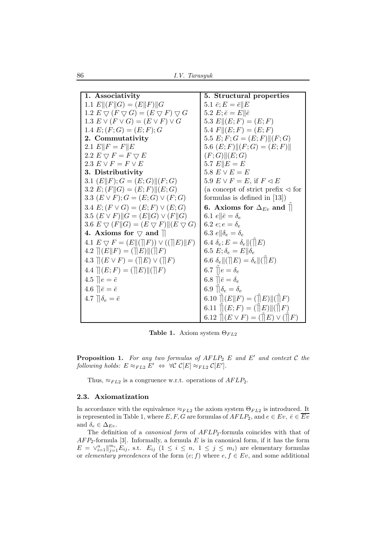86 I.V. Tarasyuk

| 1. Associativity                                                                            | 5. Structural properties                                     |
|---------------------------------------------------------------------------------------------|--------------------------------------------------------------|
| 1.1 $E  (F  G) = (E  F)  G$                                                                 | 5.1 $\bar{e}$ ; $E = \bar{e}    E$                           |
| 1.2 $E \bigtriangledown (F \bigtriangledown G) = (E \bigtriangledown F) \bigtriangledown G$ | 5.2 $E; \bar{e} = E    \bar{e}$                              |
| 1.3 $E \vee (F \vee G) = (E \vee F) \vee G$                                                 | 5.3 $E  (E;F) = (E;F)$                                       |
| 1.4 $E$ ; $(F; G) = (E; F); G$                                                              | 5.4 $F  (E;F) = (E;F)$                                       |
| 2. Commutativity                                                                            | 5.5 $E; F; G = (E; F)    (F; G)$                             |
| 2.1 $E  F = F  E$                                                                           | 5.6 $(E; F)$ $\ (F; G) = (E; F)\ $                           |
| 2.2 $E \bigtriangledown F = F \bigtriangledown E$                                           | (F;G)  (E;G)                                                 |
| 2.3 $E \vee F = F \vee E$                                                                   | 5.7 $E  E = E$                                               |
| 3. Distributivity                                                                           | 5.8 $E \vee E = E$                                           |
| 3.1 $(E  F); G = (E;G)  (F;G)$                                                              | 5.9 $E \vee F = E$ , if $F \triangleleft E$                  |
| 3.2 $E$ ; $(F  G) = (E; F)  (E; G)$                                                         | (a concept of strict prefix $\triangleleft$ for              |
| 3.3 $(E \vee F); G = (E; G) \vee (F; G)$                                                    | formulas is defined in $[13]$ )                              |
| 3.4 $E$ ; $(F \vee G) = (E; F) \vee (E; G)$                                                 | 6. Axioms for $\Delta_{Ev}$ and $\parallel$                  |
| 3.5 $(E \vee F)$ $\ G = (E \  G) \vee (F \  G)$                                             | 6.1 $e \parallel \bar{e} = \delta_e$                         |
| 3.6 $E \bigtriangledown (F  G) = (E \bigtriangledown F)  (E \bigtriangledown G)$            | 6.2 $e; e = \delta_e$                                        |
| 4. Axioms for $\bigtriangledown$ and $\bigtriangledown$                                     | 6.3 $e \parallel \delta_e = \delta_e$                        |
| 4.1 $E \bigtriangledown F = (E \  (\ F)) \vee ((\ E)\ F)$                                   | 6.4 $\delta_e$ ; $E = \delta_e   (\rVert E)$                 |
| 4.2 $\ (E\ F) = (\ E\  \ F)$                                                                | 6.5 $E; \delta_e = E    \delta_e$                            |
| 4.3 $\  (E \vee F) = (\  E) \vee (\  F)$                                                    | 6.6 $\delta_e   (  E) = \delta_e   (  E)$                    |
| 4.4 $\mathcal{R}(E; F) = (\mathcal{R}(E) \mathcal{R}) \mathcal{R}(\mathcal{R}(F))$          | 6.7 $\mathcal{C} = \delta_e$                                 |
| 4.5 $\parallel e = \bar{e}$                                                                 | 6.8 $\overline{\mathcal{E}} = \delta_e$                      |
| 4.6 $\ \bar{e} = \bar{e}\ $                                                                 | 6.9 $\mathcal{A} \delta_e = \delta_e$                        |
| 4.7 $\phi_e = \bar{e}$                                                                      | 6.10 $  E  F  = (  E  E)  (\tilde{  }F)$                     |
|                                                                                             | 6.11 $\parallel(E;F) = (\parallel E) \parallel(\parallel F)$ |
|                                                                                             | 6.12 $   (E \vee F) = (  E) \vee (  F)$                      |

Table 1. Axiom system  $\Theta_{FL2}$ 

**Proposition 1.** For any two formulas of  $AFLP_2$  E and E' and context C the following holds:  $E \approx_{FL2} E' \Leftrightarrow \forall C \mathcal{C}[E] \approx_{FL2} \mathcal{C}[E'].$ 

Thus,  $\approx_{FL2}$  is a congruence w.r.t. operations of  $AFLP_2$ .

#### 2.3. Axiomatization

In accordance with the equivalence  $\approx_{FL2}$  the axiom system  $\Theta_{FL2}$  is introduced. It is represented in Table 1, where E, F, G are formulas of  $AFLP_2$ , and  $e \in Ev$ ,  $\overline{e} \in \overline{Ev}$ and  $\delta_e \in \Delta_{Ev}$ .

The definition of a *canonical form* of  $AFLP_2$ -formula coincides with that of  $AFP<sub>2</sub>$ -formula [3]. Informally, a formula E is in canonical form, if it has the form  $E = \bigvee_{i=1}^{n} \big\|_{j=1}^{m_i} E_{ij}$ , s.t.  $E_{ij}$   $(1 \leq i \leq n, 1 \leq j \leq m_i)$  are elementary formulas or elementary precedences of the form  $(e; f)$  where  $e, f \in Ev$ , and some additional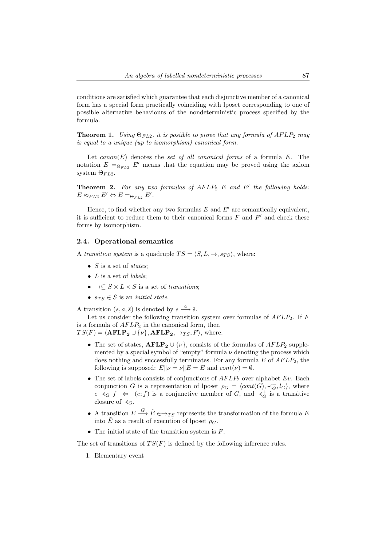conditions are satisfied which guarantee that each disjunctive member of a canonical form has a special form practically coinciding with lposet corresponding to one of possible alternative behaviours of the nondeterministic process specified by the formula.

**Theorem 1.** Using  $\Theta_{FL2}$ , it is posiible to prove that any formula of  $AFLP_2$  may is equal to a unique (up to isomorphism) canonical form.

Let  $canon(E)$  denotes the set of all canonical forms of a formula E. The notation  $E = \Theta_{FL2} E'$  means that the equation may be proved using the axiom system  $\Theta_{FL2}$ .

**Theorem 2.** For any two formulas of  $AFLP_2$  E and E' the following holds:  $E \approx_{FL2} E' \Leftrightarrow E =_{\Theta_{FL2}} E'.$ 

Hence, to find whether any two formulas  $E$  and  $E'$  are semantically equivalent, it is sufficient to reduce them to their canonical forms  $F$  and  $F'$  and check these forms by isomorphism.

#### 2.4. Operational semantics

A transition system is a quadruple  $TS = \langle S, L, \rightarrow, s_{TS} \rangle$ , where:

- $S$  is a set of *states*;
- $L$  is a set of *labels*;
- $\rightarrow \subseteq S \times L \times S$  is a set of transitions;
- $s_{TS} \in S$  is an *initial state*.

A transition  $(s, a, \tilde{s})$  is denoted by  $s \stackrel{a}{\longrightarrow} \tilde{s}$ .

Let us consider the following transition system over formulas of  $AFLP_2$ . If F is a formula of  $AFLP_2$  in the canonical form, then  $TS(F) = \langle \mathbf{AFLP_2} \cup \{v\}, \mathbf{AFLP_2}, \rightarrow_{TS}, F \rangle$ , where:

- The set of states,  $AFLP_2 \cup \{\nu\}$ , consists of the formulas of  $AFLP_2$  supplemented by a special symbol of "empty" formula  $\nu$  denoting the process which does nothing and successfully terminates. For any formula  $E$  of  $AFLP_2$ , the following is supposed:  $E\|\nu = \nu\|E = E$  and  $cont(\nu) = \emptyset$ .
- The set of labels consists of conjunctions of  $AFLP_2$  over alphabet Ev. Each conjunction G is a representation of lposet  $\rho_G = \langle cont(G), \prec_G^+, l_G \rangle$ , where  $e \prec_G f \Leftrightarrow (e; f)$  is a conjunctive member of G, and  $\prec_G^+$  is a transitive closure of  $\prec_C$ .
- A transition  $E \stackrel{G}{\longrightarrow} \tilde{E} \in \to_{TS}$  represents the transformation of the formula E into  $\tilde{E}$  as a result of execution of lposet  $\rho_G$ .
- The initial state of the transition system is  $F$ .

The set of transitions of  $TS(F)$  is defined by the following inference rules.

1. Elementary event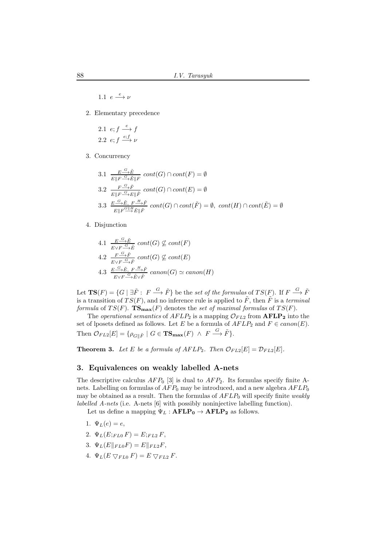1.1  $e \xrightarrow{e} \nu$ 

2. Elementary precedence

2.1 
$$
e; f \xrightarrow{e} f
$$
  
2.2  $e; f \xrightarrow{e; f} \nu$ 

3. Concurrency

3.1 
$$
\frac{E \xrightarrow{G} \tilde{E}}{E \| F \xrightarrow{G} \tilde{E} \| F} cont(G) \cap cont(F) = \emptyset
$$
  
3.2 
$$
\frac{F \xrightarrow{G} \tilde{F}}{E \| F \xrightarrow{G} E \| \tilde{F}} cont(G) \cap cont(E) = \emptyset
$$
  
3.3 
$$
\frac{E \xrightarrow{G} \tilde{E}, F \xrightarrow{H} \tilde{F}}{E \| F \xrightarrow{G} E \| \tilde{F}} cont(G) \cap cont(\tilde{F}) = \emptyset, cont(H) \cap cont(\tilde{E}) = \emptyset
$$

4. Disjunction

4.1 
$$
\frac{E \xrightarrow{G} \tilde{E}}{E \vee F \xrightarrow{G} \tilde{E}} \text{cont}(G) \nsubseteq \text{cont}(F)
$$
  
\n4.2  $\frac{F \xrightarrow{G} \tilde{F}}{E \vee F \xrightarrow{G} \tilde{F}} \text{cont}(G) \nsubseteq \text{cont}(E)$   
\n4.3  $\frac{E \xrightarrow{G} \tilde{E}, F \xrightarrow{H} \tilde{F}}{E \vee F \xrightarrow{G} \tilde{E} \vee \tilde{F}} \text{canon}(G) \simeq \text{canon}(H)$ 

Let  $\mathbf{TS}(F) = \{G \mid \exists \tilde{F} : F \stackrel{G}{\longrightarrow} \tilde{F} \}$  be the set of the formulas of  $TS(F)$ . If  $F \stackrel{G}{\longrightarrow} \tilde{F}$ is a transition of  $TS(F)$ , and no inference rule is applied to  $\tilde{F}$ , then  $\tilde{F}$  is a terminal formula of  $TS(F)$ .  $TS_{\text{max}}(F)$  denotes the set of maximal formulas of  $TS(F)$ .

The operational semantics of  $AFLP_2$  is a mapping  $\mathcal{O}_{FL2}$  from  $\mathbf{AFLP}_2$  into the set of lposets defined as follows. Let E be a formula of  $AFLP_2$  and  $F \in canon(E)$ . Then  $\mathcal{O}_{FL2}[E] = \{ \rho_{G \parallel \tilde{F}} \mid G \in \mathbf{TS}_{\mathbf{max}}(F) \land F \stackrel{G}{\longrightarrow} \tilde{F} \}.$ 

**Theorem 3.** Let E be a formula of  $AFLP_2$ . Then  $\mathcal{O}_{FL2}[E] = \mathcal{D}_{FL2}[E]$ .

## 3. Equivalences on weakly labelled A-nets

The descriptive calculus  $AFP_0$  [3] is dual to  $AFP_2$ . Its formulas specify finite Anets. Labelling on formulas of  $AFP_0$  may be introduced, and a new algebra  $AFLP_0$ may be obtained as a result. Then the formulas of  $AFLP<sub>0</sub>$  will specify finite weakly labelled A-nets (i.e. A-nets [6] with possibly noninjective labelling function).

Let us define a mapping  $\Psi_L : \textbf{AFLP}_0 \rightarrow \textbf{AFLP}_2$  as follows.

- 1.  $\Psi_L(e) = e$ ,
- 2.  $\Psi_L(E;_{FL0} F) = E;_{FL2} F$ ,
- 3.  $\Psi_L(E \|_{FLO} F) = E \|_{F L 2} F$ ,
- 4.  $\Psi_L(E \nabla_{FL0} F) = E \nabla_{FL2} F$ .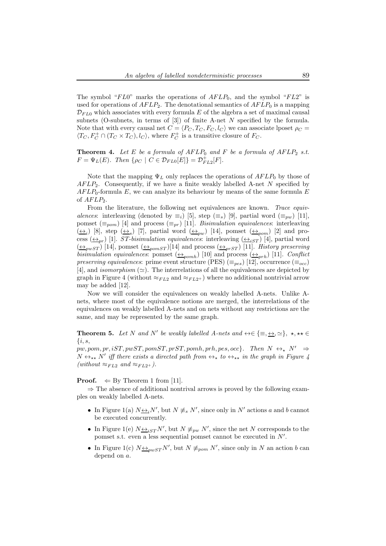The symbol "FL0" marks the operations of  $AFLP_0$ , and the symbol "FL2" is used for operations of  $AFLP_2$ . The denotational semantics of  $AFLP_0$  is a mapping  $\mathcal{D}_{FL0}$  which associates with every formula E of the algebra a set of maximal causal subnets (O-subnets, in terms of [3]) of finite A-net N specified by the formula. Note that with every causal net  $C = \langle P_C, T_C, F_C, l_C \rangle$  we can associate lposet  $\rho_C =$  $\langle T_C, F_C^+ \cap (T_C \times T_C), l_C \rangle$ , where  $F_C^+$  is a transitive closure of  $F_C$ .

**Theorem 4.** Let E be a formula of  $AFLP_0$  and F be a formula of  $AFLP_2$  s.t.  $F = \Psi_L(E)$ . Then  $\{\rho_C \mid C \in \mathcal{D}_{FL0}[E]\} = \mathcal{D}_{FL2}^+[F]$ .

Note that the mapping  $\Psi_L$  only replaces the operations of  $AFLP_0$  by those of  $AFLP_2$ . Consequently, if we have a finite weakly labelled A-net N specified by  $AFLP_0$ -formula E, we can analyze its behaviour by means of the same formula E of  $AFLP_2$ .

From the literature, the following net equivalences are known. Trace equivalences: interleaving (denoted by  $\equiv_i$ ) [5], step  $(\equiv_s)$  [9], partial word  $(\equiv_{pw})$  [11], pomset  $(\equiv_{pom})$  [4] and process  $(\equiv_{pr})$  [11]. Bisimulation equivalences: interleaving  $(\leftrightarrow_i)$  [8], step  $(\leftrightarrow_s)$  [7], partial word  $(\leftrightarrow_{pw})$  [14], pomset  $(\leftrightarrow_{pom})$  [2] and process  $(\leftrightarrow_{pr})$  [1]. ST-bisimulation equivalences: interleaving  $(\leftrightarrow_{iST})$  [4], partial word  $(\triangle_{pwST})$  [14], pomset  $(\triangle_{pomsT})$ [14] and process  $(\triangle_{prST})$  [11]. History preserving bisimulation equivalences: pomset  $(\triangle_{pomb})$  [10] and process  $(\triangle_{prh})$  [11]. Conflict preserving equivalences: prime event structure (PES)  $(\equiv_{pes})$  [12], occurrence  $(\equiv_{occ})$ [4], and *isomorphism* ( $\simeq$ ). The interrelations of all the equivalences are depicted by graph in Figure 4 (without  $\approx_{FL2}$  and  $\approx_{FL2+}$ ) where no additional nontrivial arrow may be added [12].

Now we will consider the equivalences on weakly labelled A-nets. Unlike Anets, where most of the equivalence notions are merged, the interrelations of the equivalences on weakly labelled A-nets and on nets without any restrictions are the same, and may be represented by the same graph.

**Theorem 5.** Let N and N' be weakly labelled A-nets and  $\leftrightarrow \in \{\equiv, \underline{\leftrightarrow}, \simeq\}, \star, \star\star \in$  $\{i, s,$ 

 $pw, pom, pr, iST, pwST, pomST, prST, pomh, prh, pes, occ$ . Then  $N \leftrightarrow_{\star} N' \Rightarrow$  $N \leftrightarrow_{\star\star} N'$  iff there exists a directed path from  $\leftrightarrow_{\star}$  to  $\leftrightarrow_{\star\star}$  in the graph in Figure 4  $(without \approx_{FL2} and \approx_{FL2+}).$ 

**Proof.**  $\Leftarrow$  By Theorem 1 from [11].

 $\Rightarrow$  The absence of additional nontrival arrows is proved by the following examples on weakly labelled A-nets.

- In Figure 1(a)  $N \underline{\leftrightarrow}_i N'$ , but  $N \not\equiv_s N'$ , since only in  $N'$  actions a and b cannot be executed concurrently.
- In Figure 1(e)  $N \underline{\leftrightarrow}_{iST} N'$ , but  $N \not\equiv_{pw} N'$ , since the net N corresponds to the pomset s.t. even a less sequential pomset cannot be executed in  $N'$ .
- In Figure 1(c)  $N \leftrightarrow_{pwST} N'$ , but  $N \not\equiv_{pom} N'$ , since only in N an action b can depend on a.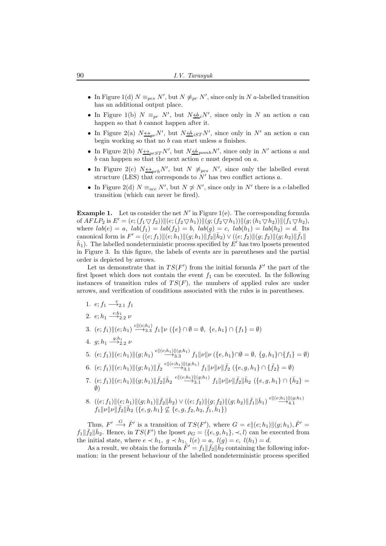- In Figure 1(d)  $N \equiv_{pes} N'$ , but  $N \not\equiv_{pr} N'$ , since only in N a-labelled transition has an additional output place.
- In Figure 1(b)  $N \equiv_{pr} N'$ , but  $N \not\Longrightarrow_i N'$ , since only in N an action a can happen so that b cannot happen after it.
- In Figure 2(a)  $N \underline{\leftrightarrow}_{pr} N'$ , but  $N \underline{\leftrightarrow}_{iST} N'$ , since only in  $N'$  an action a can begin working so that no  $b$  can start unless  $a$  finishes.
- In Figure 2(b)  $N_{\frac{\leftrightarrow}{2} p r s T} N'$ , but  $N_{\frac{\leftrightarrow}{2} p o m h} N'$ , since only in N' actions a and  $b$  can happen so that the next action  $c$  must depend on  $a$ .
- In Figure 2(c)  $N \leftrightarrow_{prh} N'$ , but  $N \neq_{pes} N'$ , since only the labelled event structure (LES) that corresponds to  $N'$  has two conflict actions a.
- In Figure 2(d)  $N \equiv_{occ} N'$ , but  $N \not\cong N'$ , since only in N' there is a c-labelled transition (which can never be fired).

**Example 1.** Let us consider the net  $N'$  in Figure 1(e). The corresponding formula of  $AFLP_2$  is  $E' = (e; (f_1 \nabla f_2)) || (e; (f_2 \nabla h_1)) || (g; (f_2 \nabla h_1)) || (g; (h_1 \nabla h_2)) || (f_1 \nabla h_2),$ where  $lab(e) = a$ ,  $lab(f_1) = lab(f_2) = b$ ,  $lab(g) = c$ ,  $lab(h_1) = lab(h_2) = d$ . Its canonical form is  $F' = ((e; f_1) \| (e; h_1) \| (g; h_1) \| \overline{f}_2 \| \overline{h}_2) \vee ((e; f_2) \| (g; f_2) \| (g; h_2) \| \overline{f}_1 \|$  $\bar{h}_1$ ). The labelled nondeterministic process specified by  $E'$  has two lposets presented in Figure 3. In this figure, the labels of events are in parentheses and the partial order is depicted by arrows.

Let us demonstrate that in  $TS(F')$  from the initial formula  $F'$  the part of the first lposet which does not contain the event  $f_1$  can be executed. In the following instances of transition rules of  $TS(F)$ , the numbers of applied rules are under arrows, and verification of conditions associated with the rules is in parentheses.

- 1.  $e; f_1 \stackrel{e}{\longrightarrow} f_2, f_1$
- 2.  $e; h_1 \xrightarrow{e; h_1} 2.2 \nu$
- 3.  $(e; f_1) \parallel (e; h_1) \stackrel{e \parallel (e; h_1)}{\longrightarrow} 3.3 f_1 \parallel \nu \ (\{e\} \cap \emptyset = \emptyset, \ \{e, h_1\} \cap \{f_1\} = \emptyset)$
- 4.  $g; h_1 \xrightarrow{g; h_1} 2 \nu$
- $5.$   $(e; f_1)$ || $(e; h_1)$ || $(g; h_1)$ <sup>e|| $(e; h_1)$ || $(g; h_1)$ </sup> $f_1$ || $\nu$ || $\nu$   $(\{e, h_1\} \cap \emptyset = \emptyset, \{g, h_1\} \cap \{f_1\} = \emptyset)$
- $6. \ \ (e; f_1) \| (e; h_1) \| (g; h_1) \| \bar{f_2} \stackrel{e \| (e; h_1) \| (g; h_1) }{\longrightarrow} f_1 \| \nu \| \nu \| \bar{f_2} \ (\{e,g,h_1\} \cap \{\bar{f_2}\} = \emptyset)$
- $7. \ \ (e; f_1) \| (e; h_1) \| (g; h_1) \| \bar f_2 \| \bar h_2 \stackrel{e \| (e; h_1) \| (g; h_1)}{\longrightarrow} f_1 \| \nu \| \nu \| \bar f_2 \| \bar h_2 \,\, (\{e,g,h_1\} \cap \{\bar h_2\} = 0)$ ∅)
- $8. \ \left((e;f_1)\|(e;h_1)\|(g;h_1)\|\bar{f}_2\|\bar{h}_2\right) \vee \left((e;f_2)\|(g;f_2)\|(g;h_2)\|\bar{f}_1\|\bar{h}_1\right)\stackrel{e\|(e;h_1)\|(g;h_1)}{\longrightarrow} 4.1$  $\|f_1\|\nu\|\nu\|\bar f_2\|\bar h_2\ (\{e,g,h_1\}\not\subseteq \{e,g,f_2,h_2,\bar f_1,\bar h_1\})$

Thus,  $F' \stackrel{G}{\longrightarrow} \tilde{F}'$  is a transition of  $TS(F')$ , where  $G = e \| (e; h_1) \| (g; h_1)$ ,  $\tilde{F}' =$  $f_1\|\bar{f}_2\|\bar{h}_2$ . Hence, in  $TS(F')$  the lposet  $\rho_G = \langle \{e, g, h_1\}, \prec, l \rangle$  can be executed from the initial state, where  $e \prec h_1, g \prec h_1, l(e) = a, l(g) = c, l(h_1) = d$ .

As a result, we obtain the formula  $\tilde{F}' = f_1 || \bar{f}_2 || \bar{h}_2$  containing the following information: in the present behaviour of the labelled nondeterministic process specified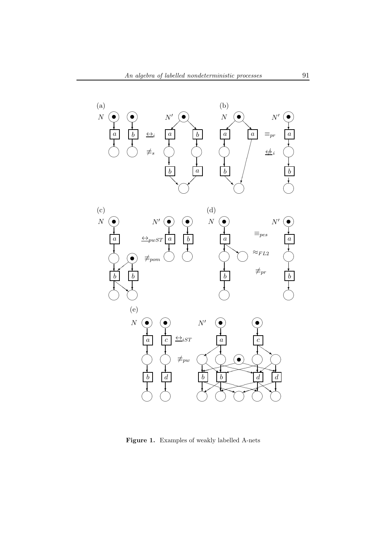

Figure 1. Examples of weakly labelled A-nets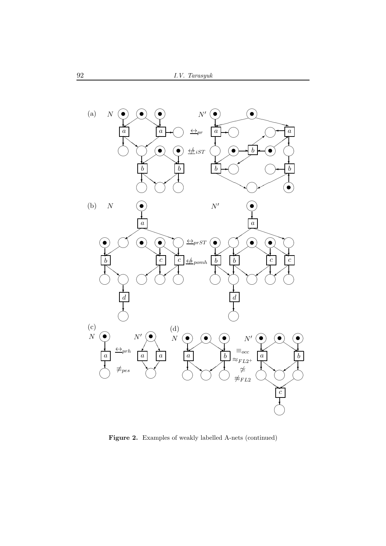

Figure 2. Examples of weakly labelled A-nets (continued)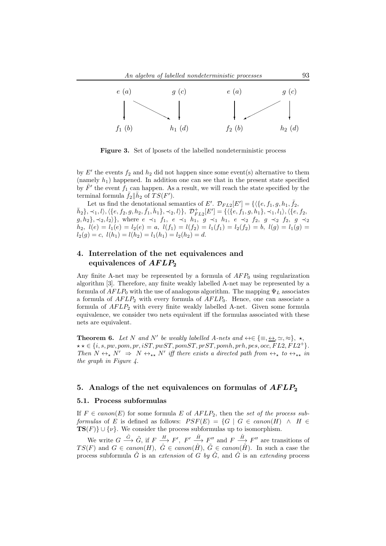

Figure 3. Set of lposets of the labelled nondeterministic process

by  $E'$  the events  $f_2$  and  $h_2$  did not happen since some event(s) alternative to them (namely  $h_1$ ) happened. In addition one can see that in the present state specified by  $\tilde{F}'$  the event  $f_1$  can happen. As a result, we will reach the state specified by the terminal formula  $\bar{f}_2 \|\bar{h}_2$  of  $TS(F')$ .

Let us find the denotational semantics of E'.  $\mathcal{D}_{FL2}[E'] = \{ \langle \{e, f_1, g, h_1, \overline{f_2}, \overline{f_2}, \overline{f_2}, \overline{f_2}, \overline{f_2}, \overline{f_2}, \overline{f_2}, \overline{f_2}, \overline{f_2}, \overline{f_2}, \overline{f_2}, \overline{f_2}, \overline{f_2}, \overline{f_2}, \overline{f_2}, \overline{f_2}, \overline{f_2}, \overline{f_2},$  $\{\bar{h}_2\}, \prec_1, l \rangle, \langle \{e, f_2, g, h_2, \bar{f}_1, \bar{h}_1\}, \prec_2, l \rangle\}, ~ \mathcal{D}^+_{F L2}[E'] = \{\langle \{e, f_1, g, h_1\}, \prec_1, l_1 \rangle, \langle \{e, f_2, g, h_2\}, \prec_2, l_1 \rangle\} \rangle$  $g, h_2\}, \prec_2, l_2$ , where  $e \prec_1 f_1, e \prec_1 h_1, g \prec_1 h_1, e \prec_2 f_2, g \prec_2 f_2, g \prec_2$  $h_2, l(e) = l_1(e) = l_2(e) = a, l(f_1) = l(f_2) = l_1(f_1) = l_2(f_2) = b, l(g) = l_1(g) = b$  $l_2(g) = c$ ,  $l(h_1) = l(h_2) = l_1(h_1) = l_2(h_2) = d$ .

## 4. Interrelation of the net equivalences and equivalences of  $AFLP_2$

Any finite A-net may be represented by a formula of  $AFP<sub>0</sub>$  using regularization algorithm [3]. Therefore, any finite weakly labelled A-net may be represented by a formula of  $AFLP_0$  with the use of analogous algorithm. The mapping  $\Psi_L$  associates a formula of  $AFLP_2$  with every formula of  $AFLP_0$ . Hence, one can associate a formula of  $AFLP_2$  with every finite weakly labelled A-net. Given some formula equivalence, we consider two nets equivalent iff the formulas associated with these nets are equivalent.

**Theorem 6.** Let N and N' be weakly labelled A-nets and  $\leftrightarrow \in \{\equiv, \underline{\leftrightarrow}, \simeq, \approx\}, \star$ ,  $\star \star \in \{i, s, pw, pom, pr, iST, pwST, pomST, prST, pomh, prh, pes, occ, FL2, FL2^{+}\}.$ Then  $N \leftrightarrow_{\star} N' \Rightarrow N \leftrightarrow_{\star \star} N'$  iff there exists a directed path from  $\leftrightarrow_{\star}$  to  $\leftrightarrow_{\star \star}$  in the graph in Figure 4.

## 5. Analogs of the net equivalences on formulas of  $AFLP<sub>2</sub>$

#### 5.1. Process subformulas

If  $F \in canon(E)$  for some formula E of  $AFLP_2$ , then the set of the process subformulas of E is defined as follows:  $PSF(E) = \{G \mid G \in canon(H) \land H \in$  $\textbf{TS}(F)$  ∪ { $\nu$ }. We consider the process subformulas up to isomorphism.

We write  $G \stackrel{\hat{G}}{\longrightarrow} \tilde{G}$ , if  $F \stackrel{H}{\longrightarrow} F'$ ,  $F' \stackrel{\hat{H}}{\longrightarrow} F''$  and  $F \stackrel{\tilde{H}}{\longrightarrow} F''$  are transitions of  $TS(F)$  and  $G \in canon(H)$ ,  $\hat{G} \in canon(\hat{H})$ ,  $\tilde{G} \in canon(\tilde{H})$ . In such a case the process subformula  $\tilde{G}$  is an extension of G by  $\tilde{G}$ , and  $\tilde{G}$  is an extending process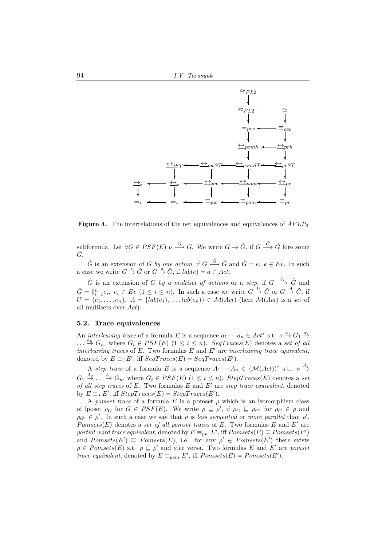

**Figure 4.** The interrelations of the net equivalences and equivalences of  $AFLP<sub>2</sub>$ 

subformula. Let  $\forall G \in PSF(E) \nu \stackrel{G}{\longrightarrow} G$ . We write  $G \to \tilde{G}$ , if  $G \stackrel{\hat{G}}{\longrightarrow} \tilde{G}$  fore some  $\hat{G}$ .

 $\tilde{G}$  is an extension of G by one action, if  $G \stackrel{\hat{G}}{\longrightarrow} \tilde{G}$  and  $\hat{G} = e, e \in Ev$ . In such a case we write  $G \stackrel{e}{\rightarrow} \tilde{G}$  or  $G \stackrel{a}{\rightarrow} \tilde{G}$ , if  $lab(e) = a \in Act$ .

 $\tilde{G}$  is an extension of G by a multiset of actions or a step, if  $G \stackrel{\hat{G}}{\longrightarrow} \tilde{G}$  and  $\hat{G} = \|\substack{n \\ i=1}^n e_i, e_i \in Ev \ (1 \leq i \leq n).$  In such a case we write  $G \stackrel{U}{\to} \tilde{G}$  or  $G \stackrel{A}{\to} \tilde{G}$ , if  $U = \{e_1, \ldots, e_n\}, A = \{lab(e_1), \ldots, lab(e_n)\} \in \mathcal{M}(Act)$  (here  $\mathcal{M}(Act)$  is a set of all multisets over Act).

#### 5.2. Trace equivalences

An *interleaving trace* of a formula E is a sequence  $a_1 \cdots a_n \in Act^*$  s.t.  $\nu \stackrel{a_1}{\rightarrow} G_1 \stackrel{a_2}{\rightarrow}$  $\dots \stackrel{a_n}{\rightarrow} G_n$ , where  $G_i \in PSF(E)$   $(1 \leq i \leq n)$ .  $SeqTrace(E)$  denotes a set of all interleaving traces of  $E$ . Two formulas  $E$  and  $E'$  are interleaving trace equivalent, denoted by  $E \equiv_i E'$ , iff  $SeqTrace(E) = SeqTrace(E').$ 

A step trace of a formula E is a sequence  $A_1 \cdots A_n \in (\mathcal{M}(Act))^*$  s.t.  $\nu \stackrel{A_1}{\rightarrow}$  $G_1 \stackrel{A_2}{\rightarrow} \dots \stackrel{A_n}{\rightarrow} G_n$ , where  $G_i \in PSF(E)$   $(1 \leq i \leq n)$ . StepTraces(E) denotes a set of all step traces of  $E$ . Two formulas  $E$  and  $E'$  are step trace equivalent, denoted by  $E \equiv_s E'$ , iff  $StepTrace(E) = StepTrace(E')$ .

A pomset trace of a formula E is a pomset  $\rho$  which is an isomorphism class of lposet  $\rho_G$  for  $G \in PSF(E)$ . We write  $\rho \subseteq \rho'$ , if  $\rho_G \subseteq \rho_{G'}$  for  $\rho_G \in \rho$  and  $\rho_{G'} \in \rho'$ . In such a case we say that  $\rho$  is less sequential or more parallel than  $\rho'$ . Pomsets(E) denotes a set of all pomset traces of E. Two formulas  $E$  and  $E'$  are partial word trace equivalent, denoted by  $E \equiv_{pw} E'$ , iff  $Pomsets(E) \sqsubseteq Pomsets(E')$ and  $Pomsets(E') \sqsubseteq Pomsets(E)$ , i.e. for any  $\rho' \in Pomsets(E')$  there exists  $\rho \in Pomsets(E)$  s.t.  $\rho \subseteq \rho'$  and vice versa. Two formulas E and E' are pomset trace equivalent, denoted by  $E \equiv_{\text{pom}} E'$ , iff  $Pomsets(E) = Pomsets(E')$ .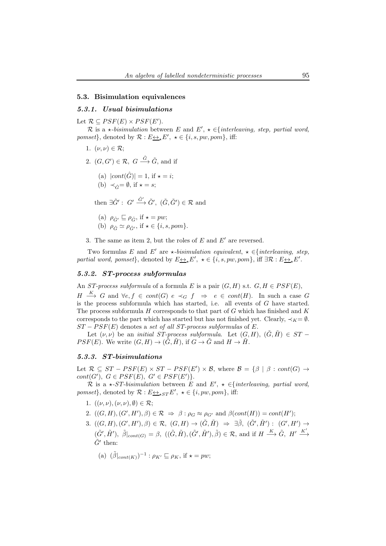#### 5.3. Bisimulation equivalences

## 5.3.1. Usual bisimulations

Let  $\mathcal{R} \subseteq PSF(E) \times PSF(E')$ .

R is a  $\star$ -bisimulation between E and E',  $\star \in \{interleaving, step, partial word,$ *pomset*}, denoted by  $\mathcal{R}: E \rightarrow E', \star \in \{i, s, pw, pom\}$ , iff:

- 1.  $(\nu, \nu) \in \mathcal{R}$ ;
- 2.  $(G, G') \in \mathcal{R}, G \stackrel{\hat{G}}{\longrightarrow} \tilde{G}$ , and if
	- (a)  $|cont(\hat{G})| = 1$ , if  $\star = i$ ; (b)  $\prec_{\hat{C}} = \emptyset$ , if  $\star = s$ ;

then  $\exists \tilde{G}' : G' \stackrel{\hat{G}'}{\longrightarrow} \tilde{G}', (\tilde{G}, \tilde{G}') \in \mathcal{R}$  and

- (a)  $\rho_{\hat{C}'} \sqsubseteq \rho_{\hat{C}}$ , if  $\star = pw$ ;
- (b)  $\rho_{\hat{G}} \simeq \rho_{\hat{G}'}, \text{ if } \star \in \{i, s, pom\}.$
- 3. The same as item 2, but the roles of  $E$  and  $E'$  are reversed.

Two formulas E and E' are  $\star$ -bisimulation equivalent,  $\star \in \{interleaving, step,$ partial word, pomset}, denoted by  $E \leftrightarrow_{\star} E'$ ,  $\star \in \{i, s, pw, pom\}$ , iff  $\exists \mathcal{R} : E \leftrightarrow_{\star} E'$ .

## 5.3.2. ST-process subformulas

An ST-process subformula of a formula E is a pair  $(G, H)$  s.t.  $G, H \in PSF(E)$ ,

 $H \stackrel{K}{\longrightarrow} G$  and  $\forall e, f \in cont(G)$   $e \prec_G f \Rightarrow e \in cont(H)$ . In such a case G is the process subformula which has started, i.e. all events of  $G$  have started. The process subformula  $H$  corresponds to that part of  $G$  which has finished and  $K$ corresponds to the part which has started but has not finished yet. Clearly,  $\prec_K = \emptyset$ .  $ST - PSF(E)$  denotes a set of all ST-process subformulas of E.

Let  $(\nu, \nu)$  be an *initial ST-process subformula*. Let  $(G, H)$ ,  $(\tilde{G}, \tilde{H}) \in ST$  –  $PSF(E)$ . We write  $(G, H) \rightarrow (\tilde{G}, \tilde{H})$ , if  $G \rightarrow \tilde{G}$  and  $H \rightarrow \tilde{H}$ .

#### 5.3.3. ST-bisimulations

Let  $\mathcal{R} \subseteq ST - PSF(E) \times ST - PSF(E') \times \mathcal{B}$ , where  $\mathcal{B} = {\beta | \beta : cont(G) \rightarrow \mathcal{B}'}$  $cont(G'), G \in PSF(E), G' \in PSF(E')\}.$ 

R is a  $\star$ -ST-bisimulation between E and E',  $\star \in \{interleaving, partial word,$ pomset}, denoted by  $\mathcal{R}: E \underline{\leftrightarrow}_{\star ST} E'$ ,  $\star \in \{i, pw, pom\}$ , iff:

1.  $((\nu, \nu), (\nu, \nu), \emptyset) \in \mathcal{R}$ ;

2.  $((G, H), (G', H'), \beta) \in \mathcal{R} \Rightarrow \beta : \rho_G \approx \rho_{G'} \text{ and } \beta(cont(H)) = cont(H');$ 

- 3.  $((G, H), (G', H'), \beta) \in \mathcal{R}, (G, H) \rightarrow (\tilde{G}, \tilde{H}) \Rightarrow \exists \tilde{\beta}, (\tilde{G}', \tilde{H}') : (G', H') \rightarrow$  $(\tilde{G}', \tilde{H}'), \ \tilde{\beta}|_{cont(G)} = \beta, \ ((\tilde{G}, \tilde{H}), (\tilde{G}', \tilde{H}'), \tilde{\beta}) \in \mathcal{R}$ , and if  $H \stackrel{K}{\longrightarrow} \tilde{G}$ ,  $H' \stackrel{K'}{\longrightarrow}$  $\tilde{G}'$  then:
	- (a)  $(\tilde{\beta}|_{cont(K)})^{-1}$ :  $\rho_{K'} \sqsubseteq \rho_K$ , if  $\star = pw$ ;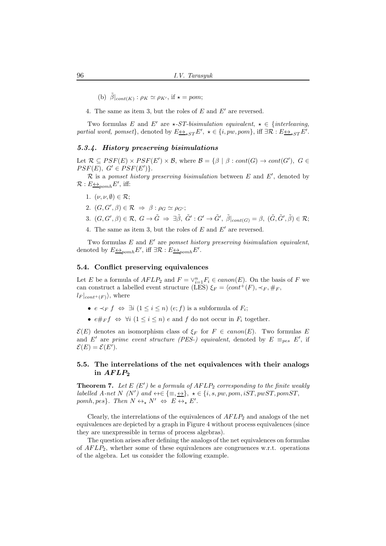(b)  $\tilde{\beta}|_{cont(K)}$ :  $\rho_K \simeq \rho_{K'}$ , if  $\star = pom;$ 

4. The same as item 3, but the roles of  $E$  and  $E'$  are reversed.

Two formulas E and E' are  $\star$ -ST-bisimulation equivalent,  $\star \in \{interleaving,$ partial word, pomset}, denoted by  $E \leftrightarrow_{\star ST} E'$ ,  $\star \in \{i, pw, pom\}$ , iff  $\exists \mathcal{R}: E \leftrightarrow_{\star ST} E'$ .

#### 5.3.4. History preserving bisimulations

Let  $\mathcal{R} \subseteq PSF(E) \times PSF(E') \times \mathcal{B}$ , where  $\mathcal{B} = {\beta | \beta : cont(G) \rightarrow cont(G'), G \in \mathcal{B}}$  $PSF(E), G' \in PSF(E')\}.$ 

 $\mathcal R$  is a pomset history preserving bisimulation between  $E$  and  $E'$ , denoted by  $\mathcal{R}: E \underline{\leftrightarrow}_{pomh} E'$ , iff:

- 1.  $(\nu, \nu, \emptyset) \in \mathcal{R}$ ;
- 2.  $(G, G', \beta) \in \mathcal{R} \Rightarrow \beta : \rho_G \simeq \rho_{G'};$
- 3.  $(G, G', \beta) \in \mathcal{R}, G \to \tilde{G} \Rightarrow \exists \tilde{\beta}, \tilde{G}' : G' \to \tilde{G}', \tilde{\beta}|_{cont(G)} = \beta, (\tilde{G}, \tilde{G}', \tilde{\beta}) \in \mathcal{R};$
- 4. The same as item 3, but the roles of  $E$  and  $E'$  are reversed.

Two formulas  $E$  and  $E'$  are pomset history preserving bisimulation equivalent, denoted by  $E \leftrightarrow_{pomh} E'$ , iff  $\exists \mathcal{R} : E \leftrightarrow_{pomh} E'$ .

#### 5.4. Conflict preserving equivalences

Let E be a formula of  $AFLP_2$  and  $F = \vee_{i=1}^{n} F_i \in canon(E)$ . On the basis of F we can construct a labelled event structure (LES)  $\xi_F = \langle cont^+(F), \prec_F, \#_F,$  $l_F|_{cont^+(F)}\rangle$ , where

- $e \prec_F f \Leftrightarrow \exists i \ (1 \leq i \leq n) \ (e; f)$  is a subformula of  $F_i$ ;
- $e \#_F f \Leftrightarrow \forall i \ (1 \leq i \leq n) \ e \text{ and } f \text{ do not occur in } F_i \text{ together.}$

 $\mathcal{E}(E)$  denotes an isomorphism class of  $\xi_F$  for  $F \in canon(E)$ . Two formulas E and E' are prime event structure (PES-) equivalent, denoted by  $E \equiv_{pes} E'$ , if  $\mathcal{E}(E) = \mathcal{E}(E').$ 

## 5.5. The interrelations of the net equivalences with their analogs in  $AFLP_2$

**Theorem 7.** Let  $E(F')$  be a formula of  $AFLP_2$  corresponding to the finite weakly labelled A-net N (N') and  $\leftrightarrow \in \{\equiv, \leftrightarrow\}$ ,  $\star \in \{i, s, pw, pom, iST, pwST, pomST,$ pomh, pes}. Then  $N \leftrightarrow_{\star} N' \Leftrightarrow E \leftrightarrow_{\star} E'$ .

Clearly, the interrelations of the equivalences of  $AFLP_2$  and analogs of the net equivalences are depicted by a graph in Figure 4 without process equivalences (since they are unexpressible in terms of process algebras).

The question arises after defining the analogs of the net equivalences on formulas of  $AFLP_2$ , whether some of these equivalences are congruences w.r.t. operations of the algebra. Let us consider the following example.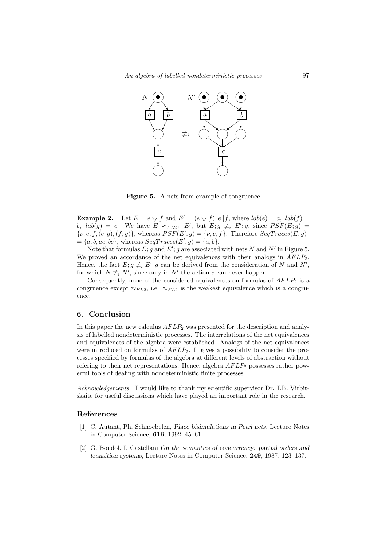

Figure 5. A-nets from example of congruence

**Example 2.** Let  $E = e \nabla f$  and  $E' = (e \nabla f) ||e|| f$ , where  $lab(e) = a$ ,  $lab(f) = a$ b,  $lab(g) = c$ . We have  $E \approx_{F L2^+} E'$ , but  $E; g \neq_i E'; g$ , since  $PSF(E; g) =$  $\{\nu, e, f, (e, g), (f, g)\}\$ , whereas  $PSF(E'; g) = \{\nu, e, f\}\$ . Therefore  $SeqTrace(E; g)$  $=\{a, b, ac, bc\}$ , whereas  $SeqTraces(E';g) = \{a, b\}.$ 

Note that formulas  $E$ ; g and  $E'$ ; g are associated with nets N and N' in Figure 5. We proved an accordance of the net equivalences with their analogs in  $AFLP_2$ . Hence, the fact  $E; g \neq E'; g$  can be derived from the consideration of N and N', for which  $N \neq i$  N', since only in N' the action c can never happen.

Consequently, none of the considered equivalences on formulas of  $AFLP<sub>2</sub>$  is a congruence except  $\approx_{FL2}$ , i.e.  $\approx_{FL2}$  is the weakest equivalence which is a congruence.

## 6. Conclusion

In this paper the new calculus  $AFLP<sub>2</sub>$  was presented for the description and analysis of labelled nondeterministic processes. The interrelations of the net equivalences and equivalences of the algebra were established. Analogs of the net equivalences were introduced on formulas of  $AFLP_2$ . It gives a possibility to consider the processes specified by formulas of the algebra at different levels of abstraction without refering to their net representations. Hence, algebra  $AFLP_2$  possesses rather powerful tools of dealing with nondeterministic finite processes.

Acknowledgements. I would like to thank my scientific supervisor Dr. I.B. Virbitskaite for useful discussions which have played an important role in the research.

#### References

- [1] C. Autant, Ph. Schnoebelen, Place bisimulations in Petri nets, Lecture Notes in Computer Science, 616, 1992, 45–61.
- [2] G. Boudol, I. Castellani On the semantics of concurrency: partial orders and transition systems, Lecture Notes in Computer Science, 249, 1987, 123–137.